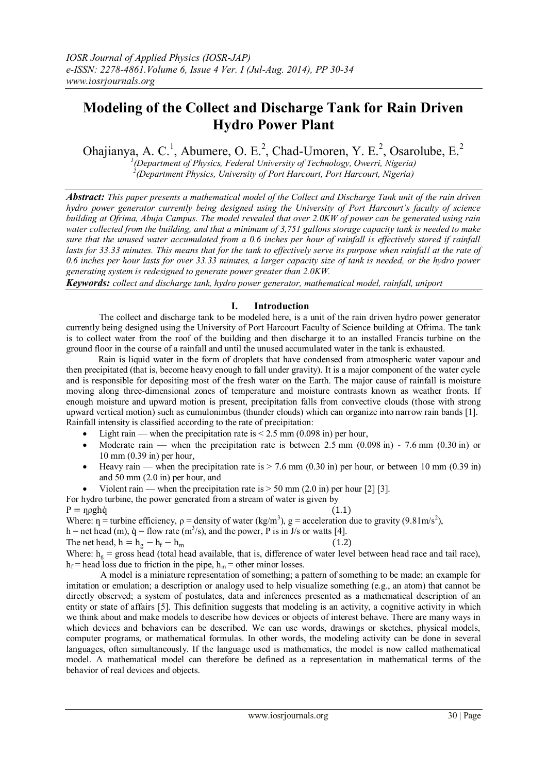# **Modeling of the Collect and Discharge Tank for Rain Driven Hydro Power Plant**

Ohajianya, A. C.<sup>1</sup>, Abumere, O. E.<sup>2</sup>, Chad-Umoren, Y. E.<sup>2</sup>, Osarolube, E.<sup>2</sup>

*1 (Department of Physics, Federal University of Technology, Owerri, Nigeria) 2 (Department Physics, University of Port Harcourt, Port Harcourt, Nigeria)*

*Abstract: This paper presents a mathematical model of the Collect and Discharge Tank unit of the rain driven hydro power generator currently being designed using the University of Port Harcourt's faculty of science building at Ofrima, Abuja Campus. The model revealed that over 2.0KW of power can be generated using rain water collected from the building, and that a minimum of 3,751 gallons storage capacity tank is needed to make sure that the unused water accumulated from a 0.6 inches per hour of rainfall is effectively stored if rainfall*  lasts for 33.33 minutes. This means that for the tank to effectively serve its purpose when rainfall at the rate of *0.6 inches per hour lasts for over 33.33 minutes, a larger capacity size of tank is needed, or the hydro power generating system is redesigned to generate power greater than 2.0KW.*

*Keywords: collect and discharge tank, hydro power generator, mathematical model, rainfall, uniport*

## **I. Introduction**

The collect and discharge tank to be modeled here, is a unit of the rain driven hydro power generator currently being designed using the University of Port Harcourt Faculty of Science building at Ofrima. The tank is to collect water from the roof of the building and then discharge it to an installed Francis turbine on the ground floor in the course of a rainfall and until the unused accumulated water in the tank is exhausted.

 Rain is liquid water in the form of droplets that have condensed from atmospheric water vapour and then precipitated (that is, become heavy enough to fall under gravity). It is a major component of the water cycle and is responsible for depositing most of the fresh water on the Earth. The major cause of rainfall is moisture moving along three-dimensional zones of temperature and moisture contrasts known as weather fronts. If enough moisture and upward motion is present, precipitation falls from convective clouds (those with strong upward vertical motion) such as cumulonimbus (thunder clouds) which can organize into narrow rain bands [1]. Rainfall intensity is classified according to the rate of precipitation:

- Light rain when the precipitation rate is  $\leq$  2.5 mm (0.098 in) per hour,
- Moderate rain when the precipitation rate is between 2.5 mm  $(0.098 \text{ in})$  7.6 mm  $(0.30 \text{ in})$  or 10 mm (0.39 in) per hour,
- Heavy rain when the precipitation rate is  $> 7.6$  mm (0.30 in) per hour, or between 10 mm (0.39 in) and 50 mm (2.0 in) per hour, and
- Violent rain when the precipitation rate is  $> 50$  mm (2.0 in) per hour [2] [3].

For hydro turbine, the power generated from a stream of water is given by  $P = n \text{ o}$ ghà (1.1) Where:  $\eta$  = turbine efficiency,  $\rho$  = density of water (kg/m<sup>3</sup>), g = acceleration due to gravity (9.81m/s<sup>2</sup>), h = net head (m),  $\dot{q}$  = flow rate (m<sup>3</sup>/s), and the power, P is in J/s or watts [4]. The net head,  $h = h_g - h_f - h_m$  (1.2)

Where:  $h_g$  = gross head (total head available, that is, difference of water level between head race and tail race),  $h_f$  = head loss due to friction in the pipe,  $h_m$  = other minor losses.

 A model is a miniature representation of something; a pattern of something to be made; an example for imitation or emulation; a description or analogy used to help visualize something (e.g., an atom) that cannot be directly observed; a system of postulates, data and inferences presented as a mathematical description of an entity or state of affairs [5]. This definition suggests that modeling is an activity, a cognitive activity in which we think about and make models to describe how devices or objects of interest behave. There are many ways in which devices and behaviors can be described. We can use words, drawings or sketches, physical models, computer programs, or mathematical formulas. In other words, the modeling activity can be done in several languages, often simultaneously. If the language used is mathematics, the model is now called mathematical model. A mathematical model can therefore be defined as a representation in mathematical terms of the behavior of real devices and objects.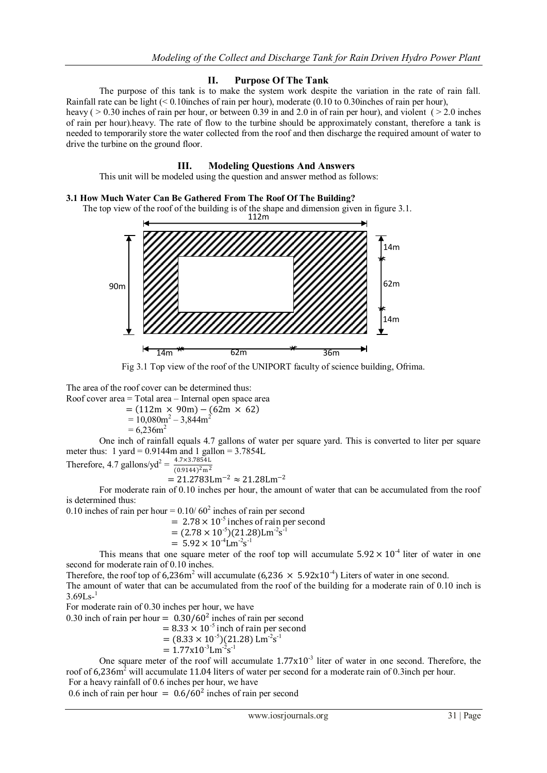#### **II. Purpose Of The Tank**

The purpose of this tank is to make the system work despite the variation in the rate of rain fall. Rainfall rate can be light (< 0.10inches of rain per hour), moderate (0.10 to 0.30inches of rain per hour),

heavy ( $> 0.30$  inches of rain per hour, or between 0.39 in and 2.0 in of rain per hour), and violent ( $> 2.0$  inches of rain per hour).heavy. The rate of flow to the turbine should be approximately constant, therefore a tank is needed to temporarily store the water collected from the roof and then discharge the required amount of water to drive the turbine on the ground floor.

#### **III. Modeling Questions And Answers**

This unit will be modeled using the question and answer method as follows:

#### **3.1 How Much Water Can Be Gathered From The Roof Of The Building?**

The top view of the roof of the building is of the shape and dimension given in figure 3.1.



Fig 3.1 Top view of the roof of the UNIPORT faculty of science building, Ofrima.

The area of the roof cover can be determined thus:

Roof cover area = Total area – Internal open space area

 $= (112m \times 90m) - (62m \times 62)$ 

 $= 10,080$ m<sup>2</sup> $- 3,844$ m<sup>2</sup>

$$
= 6,236
$$
m<sup>2</sup>

One inch of rainfall equals 4.7 gallons of water per square yard. This is converted to liter per square meter thus:  $1 \text{ yard} = 0.9144 \text{m}$  and  $1 \text{ gallon} = 3.7854 \text{L}$ 

Therefore, 4.7 gallons/yd<sup>2</sup> = 
$$
\frac{4.7 \times 3.7854 \text{ L}}{(0.9144)^2 \text{ m}^2}
$$

$$
= 21.2783 \text{Lm}^{-2} \approx 21.28 \text{Lm}^{-2}
$$

For moderate rain of 0.10 inches per hour, the amount of water that can be accumulated from the roof is determined thus:

0.10 inches of rain per hour =  $0.10/60^2$  inches of rain per second

 $= 2.78 \times 10^{-5}$  inches of rain per second

$$
= (2.78 \times 10^{-5})(21.28) \mathrm{Lm}^{-2} \mathrm{s}^{-1}
$$

$$
= 5.92 \times 10^{-4} \text{Lm}^{-2} \text{s}^{-1}
$$

This means that one square meter of the roof top will accumulate  $5.92 \times 10^{-4}$  liter of water in one second for moderate rain of 0.10 inches.

Therefore, the roof top of 6,236m<sup>2</sup> will accumulate (6,236  $\times$  5.92x10<sup>-4</sup>) Liters of water in one second.

The amount of water that can be accumulated from the roof of the building for a moderate rain of 0.10 inch is  $3.69$ Ls- $^{1}$ 

For moderate rain of 0.30 inches per hour, we have

0.30 inch of rain per hour =  $0.30/60^2$  inches of rain per second

$$
= 8.33 \times 10^{-5}
$$
 inch of rain per second

$$
= (8.33 \times 10^{-5})(21.28) \,\mathrm{Lm}^{-2}\mathrm{s}^{-1}
$$

$$
= 1.77x10^{-3} \mathrm{Lm}^{-2} \mathrm{s}^{-1}
$$

One square meter of the roof will accumulate  $1.77 \times 10^{-3}$  liter of water in one second. Therefore, the roof of 6,236m<sup>2</sup> will accumulate 11.04 liters of water per second for a moderate rain of 0.3inch per hour. For a heavy rainfall of 0.6 inches per hour, we have

0.6 inch of rain per hour =  $0.6/60^2$  inches of rain per second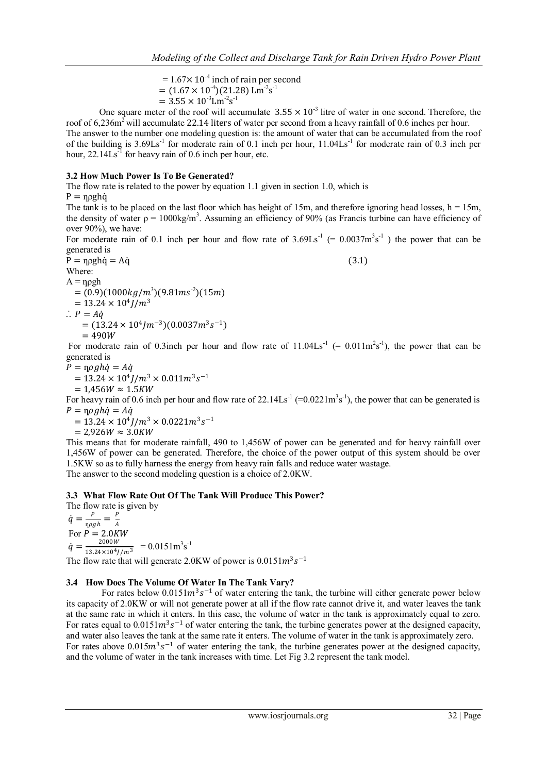$= 1.67 \times 10^{-4}$  inch of rain per second  $= (1.67 \times 10^{-4})(21.28)$  Lm<sup>-2</sup>s<sup>-1</sup>  $= 3.55 \times 10^{-3}$ Lm<sup>-2</sup>s<sup>-1</sup>

One square meter of the roof will accumulate  $3.55 \times 10^{-3}$  litre of water in one second. Therefore, the roof of 6,236m<sup>2</sup> will accumulate 22.14 liters of water per second from a heavy rainfall of 0.6 inches per hour.

The answer to the number one modeling question is: the amount of water that can be accumulated from the roof of the building is  $3.69\text{Ls}^{-1}$  for moderate rain of 0.1 inch per hour,  $11.04\text{Ls}^{-1}$  for moderate rain of 0.3 inch per hour,  $22.14\text{Ls}^{-1}$  for heavy rain of 0.6 inch per hour, etc.

# **3.2 How Much Power Is To Be Generated?**

The flow rate is related to the power by equation 1.1 given in section 1.0, which is

 $P =$  nogha

The tank is to be placed on the last floor which has height of 15m, and therefore ignoring head losses,  $h = 15m$ , the density of water  $\rho = 1000 \text{kg/m}^3$ . Assuming an efficiency of 90% (as Francis turbine can have efficiency of over 90%), we have:

For moderate rain of 0.1 inch per hour and flow rate of  $3.69\text{Ls}^{-1}$  (=  $0.0037\text{m}^3\text{s}^{-1}$ ) the power that can be generated is

 $P = \eta \rho g h \dot{q} = A \dot{q}$  (3.1) Where:  $A = npgh$  $= (0.9)(1000 kg/m^3)(9.81 ms^{-2})(15m)$  $= 13.24 \times 10^4 J/m^3$  $\therefore$  P = A $\dot{q}$ 

$$
= (13.24 \times 10^4 J m^{-3})(0.0037 m^3 s^{-1})
$$

 $= 490W$ 

For moderate rain of 0.3 inch per hour and flow rate of  $11.04\text{Ls}^{-1}$  (= 0.01 lm<sup>2</sup>s<sup>-1</sup>), the power that can be generated is

 $P = \eta \rho g h \dot{q} = A \dot{q}$ 

$$
= 13.24 \times 10^4 J/m^3 \times 0.011 m^3 s^{-1}
$$
  
= 1.456W \approx 1.5KW

For heavy rain of 0.6 inch per hour and flow rate of  $22.14\text{Ls}^{-1}$  (=0.0221m<sup>3</sup>s<sup>-1</sup>), the power that can be generated is  $P = \eta \rho g h \dot{q} = A \dot{q}$ 

 $= 13.24 \times 10^4 J/m^3 \times 0.0221 m^3 s^{-1}$ 

 $= 2.926 W \approx 3.0 K W$ 

This means that for moderate rainfall, 490 to 1,456W of power can be generated and for heavy rainfall over 1,456W of power can be generated. Therefore, the choice of the power output of this system should be over 1.5KW so as to fully harness the energy from heavy rain falls and reduce water wastage. The answer to the second modeling question is a choice of 2.0KW.

## **3.3 What Flow Rate Out Of The Tank Will Produce This Power?**

The flow rate is given by  $\dot{q}=\frac{P}{\sqrt{2}}$  $\frac{P}{\eta \rho g h} = \frac{P}{A}$ 

 $\overline{A}$ For  $\vec{P} = 2.0KW$  $\dot{q} = \frac{2000 W}{12.24 \times 10^{4} r}$  $\frac{2000 W}{13.24 \times 10^4 J/m^3}$  = 0.0151m<sup>3</sup>s<sup>-1</sup>

The flow rate that will generate 2.0KW of power is  $0.0151m^3 s^{-1}$ 

## **3.4 How Does The Volume Of Water In The Tank Vary?**

For rates below  $0.0151m^3s^{-1}$  of water entering the tank, the turbine will either generate power below its capacity of 2.0KW or will not generate power at all if the flow rate cannot drive it, and water leaves the tank at the same rate in which it enters. In this case, the volume of water in the tank is approximately equal to zero. For rates equal to  $0.0151m^3s^{-1}$  of water entering the tank, the turbine generates power at the designed capacity, and water also leaves the tank at the same rate it enters. The volume of water in the tank is approximately zero. For rates above  $0.015m^3s^{-1}$  of water entering the tank, the turbine generates power at the designed capacity, and the volume of water in the tank increases with time. Let Fig 3.2 represent the tank model.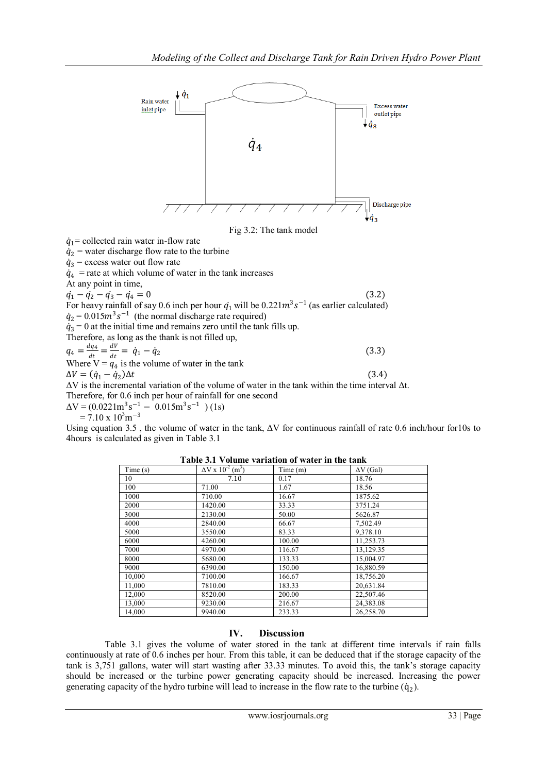

Therefore, as long as the blank is not line up,  
\n
$$
q_4 = \frac{dq_4}{dt} = \frac{dV}{dt} = \dot{q}_1 - \dot{q}_2
$$
\n(3.3)  
\nWhere V =  $q_4$  is the volume of water in the tank  
\n
$$
\Delta V = (\dot{q}_1 - \dot{q}_2)\Delta t
$$
\n
$$
\Delta V
$$
 is the incremental variation of the volume of water in the tank within the time interval  $\Delta t$ .  
\nTherefore, for 0.6 inch per hour of rainfall for one second  
\n
$$
\Delta V = (0.0221m^3 s^{-1} - 0.015m^3 s^{-1})
$$
 (1s)

 $= 7.10 \times 10^{3}$ m<sup>-3</sup>

Using equation 3.5 , the volume of water in the tank, ΔV for continuous rainfall of rate 0.6 inch/hour for10s to 4hours is calculated as given in Table 3.1

| Time(s) | $\Delta$ V x 10 <sup>-2</sup> (m <sup>3</sup> ) | Time(m) | $\Delta V$ (Gal) |
|---------|-------------------------------------------------|---------|------------------|
| 10      | 7.10                                            | 0.17    | 18.76            |
| 100     | 71.00                                           | 1.67    | 18.56            |
| 1000    | 710.00                                          | 16.67   | 1875.62          |
| 2000    | 1420.00                                         | 33.33   | 3751.24          |
| 3000    | 2130.00                                         | 50.00   | 5626.87          |
| 4000    | 2840.00                                         | 66.67   | 7,502.49         |
| 5000    | 3550.00                                         | 83.33   | 9.378.10         |
| 6000    | 4260.00                                         | 100.00  | 11,253.73        |
| 7000    | 4970.00                                         | 116.67  | 13,129.35        |
| 8000    | 5680.00                                         | 133.33  | 15,004.97        |
| 9000    | 6390.00                                         | 150.00  | 16,880.59        |
| 10,000  | 7100.00                                         | 166.67  | 18,756.20        |
| 11,000  | 7810.00                                         | 183.33  | 20,631.84        |
| 12,000  | 8520.00                                         | 200.00  | 22,507.46        |
| 13,000  | 9230.00                                         | 216.67  | 24,383.08        |
| 14,000  | 9940.00                                         | 233.33  | 26,258.70        |

**Table 3.1 Volume variation of water in the tank**

## **IV. Discussion**

 Table 3.1 gives the volume of water stored in the tank at different time intervals if rain falls continuously at rate of 0.6 inches per hour. From this table, it can be deduced that if the storage capacity of the tank is 3,751 gallons, water will start wasting after 33.33 minutes. To avoid this, the tank's storage capacity should be increased or the turbine power generating capacity should be increased. Increasing the power generating capacity of the hydro turbine will lead to increase in the flow rate to the turbine  $(q_2)$ .